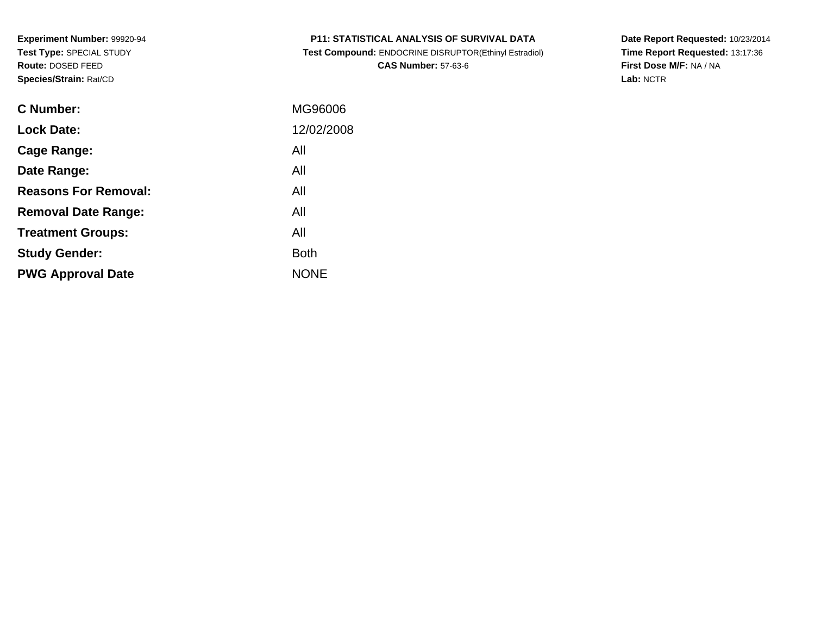| MG96006    |
|------------|
| 12/02/2008 |
| All        |
| All        |
| All        |
| All        |
| All        |
| Both       |
| NONE       |
|            |

# **P11: STATISTICAL ANALYSIS OF SURVIVAL DATA**

 **Test Compound:** ENDOCRINE DISRUPTOR(Ethinyl Estradiol)**CAS Number:** 57-63-6

**Date Report Requested:** 10/23/2014 **Time Report Requested:** 13:17:36**First Dose M/F:** NA / NA**Lab:** NCTR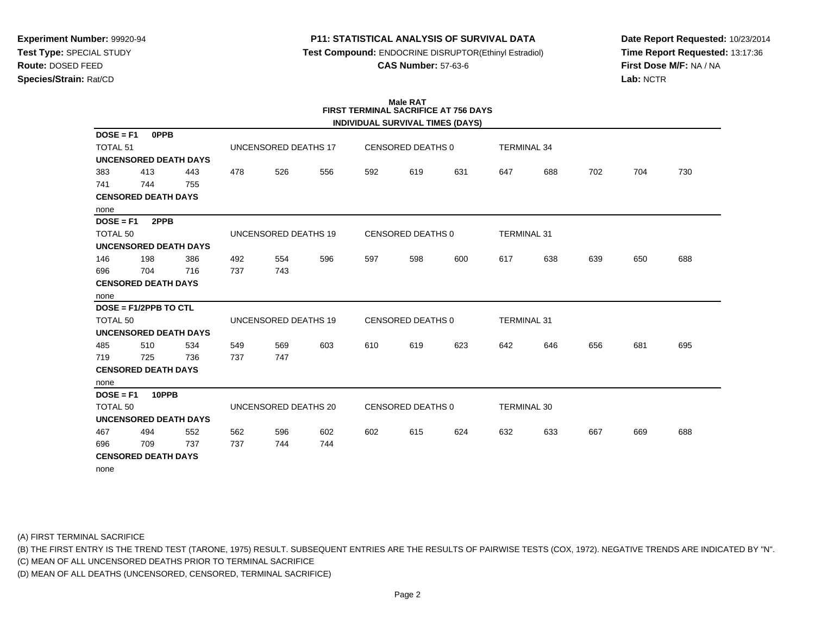## **P11: STATISTICAL ANALYSIS OF SURVIVAL DATA**

**Test Compound:** ENDOCRINE DISRUPTOR(Ethinyl Estradiol)

**CAS Number:** 57-63-6

**Date Report Requested:** 10/23/2014**Time Report Requested:** 13:17:36**First Dose M/F:** NA / NA**Lab:** NCTR

## **Male RATFIRST TERMINAL SACRIFICE AT 756 DAYS**

|                     |                            |                              |     |                             |     |     |                          | INDIVIDUAL SURVIVAL TIMES (DAYS) |                    |     |     |     |     |
|---------------------|----------------------------|------------------------------|-----|-----------------------------|-----|-----|--------------------------|----------------------------------|--------------------|-----|-----|-----|-----|
| $DOSE = F1$         | <b>OPPB</b>                |                              |     |                             |     |     |                          |                                  |                    |     |     |     |     |
| <b>TOTAL 51</b>     |                            |                              |     | UNCENSORED DEATHS 17        |     |     | <b>CENSORED DEATHS 0</b> |                                  | <b>TERMINAL 34</b> |     |     |     |     |
|                     |                            | <b>UNCENSORED DEATH DAYS</b> |     |                             |     |     |                          |                                  |                    |     |     |     |     |
| 383                 | 413                        | 443                          | 478 | 526                         | 556 | 592 | 619                      | 631                              | 647                | 688 | 702 | 704 | 730 |
| 741                 | 744                        | 755                          |     |                             |     |     |                          |                                  |                    |     |     |     |     |
|                     | <b>CENSORED DEATH DAYS</b> |                              |     |                             |     |     |                          |                                  |                    |     |     |     |     |
| none                |                            |                              |     |                             |     |     |                          |                                  |                    |     |     |     |     |
| $DOSE = F1$         | 2PPB                       |                              |     |                             |     |     |                          |                                  |                    |     |     |     |     |
| <b>TOTAL 50</b>     |                            |                              |     | UNCENSORED DEATHS 19        |     |     | <b>CENSORED DEATHS 0</b> |                                  | <b>TERMINAL 31</b> |     |     |     |     |
|                     |                            | <b>UNCENSORED DEATH DAYS</b> |     |                             |     |     |                          |                                  |                    |     |     |     |     |
| 146                 | 198                        | 386                          | 492 | 554                         | 596 | 597 | 598                      | 600                              | 617                | 638 | 639 | 650 | 688 |
| 696                 | 704                        | 716                          | 737 | 743                         |     |     |                          |                                  |                    |     |     |     |     |
|                     | <b>CENSORED DEATH DAYS</b> |                              |     |                             |     |     |                          |                                  |                    |     |     |     |     |
| none                |                            |                              |     |                             |     |     |                          |                                  |                    |     |     |     |     |
|                     | DOSE = F1/2PPB TO CTL      |                              |     |                             |     |     |                          |                                  |                    |     |     |     |     |
| <b>TOTAL 50</b>     |                            |                              |     | <b>UNCENSORED DEATHS 19</b> |     |     | <b>CENSORED DEATHS 0</b> |                                  | <b>TERMINAL 31</b> |     |     |     |     |
|                     |                            | <b>UNCENSORED DEATH DAYS</b> |     |                             |     |     |                          |                                  |                    |     |     |     |     |
| 485                 | 510                        | 534                          | 549 | 569                         | 603 | 610 | 619                      | 623                              | 642                | 646 | 656 | 681 | 695 |
| 719                 | 725                        | 736                          | 737 | 747                         |     |     |                          |                                  |                    |     |     |     |     |
|                     | <b>CENSORED DEATH DAYS</b> |                              |     |                             |     |     |                          |                                  |                    |     |     |     |     |
| none                |                            |                              |     |                             |     |     |                          |                                  |                    |     |     |     |     |
| $DOSE = F1$         | 10PPB                      |                              |     |                             |     |     |                          |                                  |                    |     |     |     |     |
| TOTAL <sub>50</sub> |                            |                              |     | UNCENSORED DEATHS 20        |     |     | <b>CENSORED DEATHS 0</b> |                                  | <b>TERMINAL 30</b> |     |     |     |     |
|                     |                            | <b>UNCENSORED DEATH DAYS</b> |     |                             |     |     |                          |                                  |                    |     |     |     |     |
| 467                 | 494                        | 552                          | 562 | 596                         | 602 | 602 | 615                      | 624                              | 632                | 633 | 667 | 669 | 688 |
| 696                 | 709                        | 737                          | 737 | 744                         | 744 |     |                          |                                  |                    |     |     |     |     |
|                     | <b>CENSORED DEATH DAYS</b> |                              |     |                             |     |     |                          |                                  |                    |     |     |     |     |
| none                |                            |                              |     |                             |     |     |                          |                                  |                    |     |     |     |     |

(A) FIRST TERMINAL SACRIFICE

(B) THE FIRST ENTRY IS THE TREND TEST (TARONE, 1975) RESULT. SUBSEQUENT ENTRIES ARE THE RESULTS OF PAIRWISE TESTS (COX, 1972). NEGATIVE TRENDS ARE INDICATED BY "N".

(C) MEAN OF ALL UNCENSORED DEATHS PRIOR TO TERMINAL SACRIFICE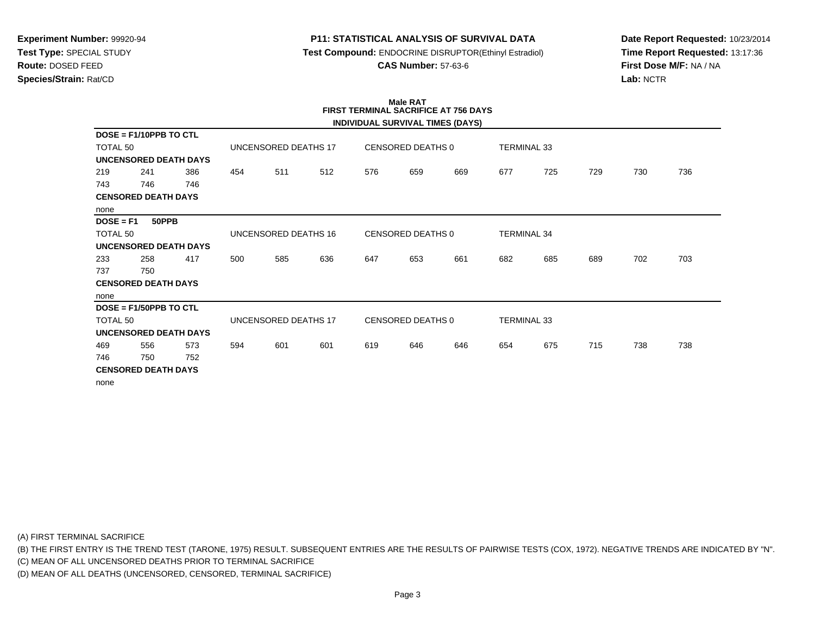### **P11: STATISTICAL ANALYSIS OF SURVIVAL DATA**

**Test Compound:** ENDOCRINE DISRUPTOR(Ethinyl Estradiol)

**CAS Number:** 57-63-6

**Date Report Requested:** 10/23/2014**Time Report Requested:** 13:17:36**First Dose M/F:** NA / NA**Lab:** NCTR

#### **Male RAT FIRST TERMINAL SACRIFICE AT 756 DAYSINDIVIDUAL SURVIVAL TIMES (DAYS)**

|                     |                            |                              |     |                      |     |     |                   | INDIVIDUAL SURVIVAL TIMES (DAYS) |                    |     |     |     |     |
|---------------------|----------------------------|------------------------------|-----|----------------------|-----|-----|-------------------|----------------------------------|--------------------|-----|-----|-----|-----|
|                     | $DOSE = F1/10PPB TO CTL$   |                              |     |                      |     |     |                   |                                  |                    |     |     |     |     |
| TOTAL 50            |                            |                              |     | UNCENSORED DEATHS 17 |     |     | CENSORED DEATHS 0 |                                  | <b>TERMINAL 33</b> |     |     |     |     |
|                     |                            | <b>UNCENSORED DEATH DAYS</b> |     |                      |     |     |                   |                                  |                    |     |     |     |     |
| 219                 | 241                        | 386                          | 454 | 511                  | 512 | 576 | 659               | 669                              | 677                | 725 | 729 | 730 | 736 |
| 743                 | 746                        | 746                          |     |                      |     |     |                   |                                  |                    |     |     |     |     |
|                     | <b>CENSORED DEATH DAYS</b> |                              |     |                      |     |     |                   |                                  |                    |     |     |     |     |
| none                |                            |                              |     |                      |     |     |                   |                                  |                    |     |     |     |     |
| $DOSE = F1$         | 50PPB                      |                              |     |                      |     |     |                   |                                  |                    |     |     |     |     |
| TOTAL 50            |                            |                              |     | UNCENSORED DEATHS 16 |     |     | CENSORED DEATHS 0 |                                  | <b>TERMINAL 34</b> |     |     |     |     |
|                     |                            | <b>UNCENSORED DEATH DAYS</b> |     |                      |     |     |                   |                                  |                    |     |     |     |     |
| 233                 | 258                        | 417                          | 500 | 585                  | 636 | 647 | 653               | 661                              | 682                | 685 | 689 | 702 | 703 |
| 737                 | 750                        |                              |     |                      |     |     |                   |                                  |                    |     |     |     |     |
|                     | <b>CENSORED DEATH DAYS</b> |                              |     |                      |     |     |                   |                                  |                    |     |     |     |     |
| none                |                            |                              |     |                      |     |     |                   |                                  |                    |     |     |     |     |
|                     | $DOSE = F1/50PPB TO CTL$   |                              |     |                      |     |     |                   |                                  |                    |     |     |     |     |
| TOTAL <sub>50</sub> |                            |                              |     | UNCENSORED DEATHS 17 |     |     | CENSORED DEATHS 0 |                                  | <b>TERMINAL 33</b> |     |     |     |     |
|                     |                            | <b>UNCENSORED DEATH DAYS</b> |     |                      |     |     |                   |                                  |                    |     |     |     |     |
| 469                 | 556                        | 573                          | 594 | 601                  | 601 | 619 | 646               | 646                              | 654                | 675 | 715 | 738 | 738 |
| 746                 | 750                        | 752                          |     |                      |     |     |                   |                                  |                    |     |     |     |     |
|                     | <b>CENSORED DEATH DAYS</b> |                              |     |                      |     |     |                   |                                  |                    |     |     |     |     |
| none                |                            |                              |     |                      |     |     |                   |                                  |                    |     |     |     |     |

(A) FIRST TERMINAL SACRIFICE

(B) THE FIRST ENTRY IS THE TREND TEST (TARONE, 1975) RESULT. SUBSEQUENT ENTRIES ARE THE RESULTS OF PAIRWISE TESTS (COX, 1972). NEGATIVE TRENDS ARE INDICATED BY "N".

(C) MEAN OF ALL UNCENSORED DEATHS PRIOR TO TERMINAL SACRIFICE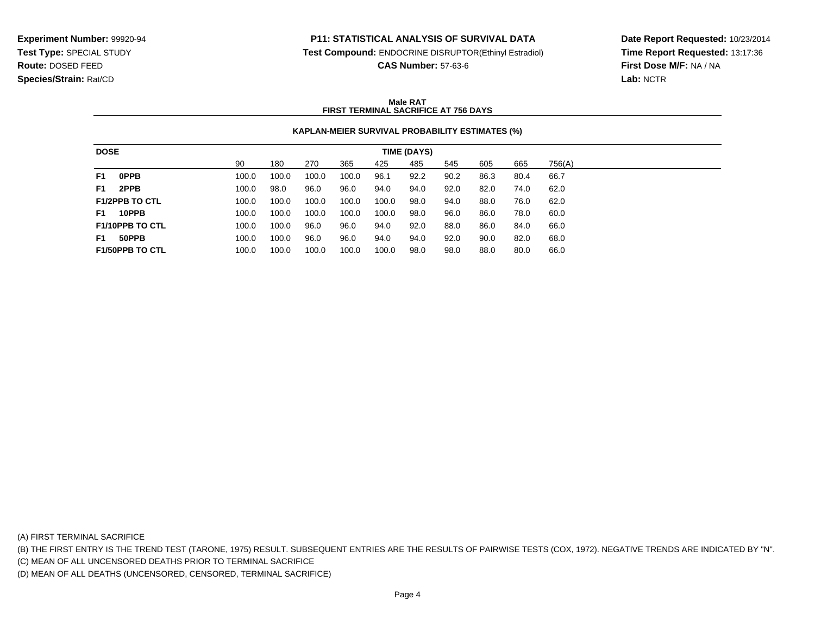#### **P11: STATISTICAL ANALYSIS OF SURVIVAL DATA**

**Test Compound:** ENDOCRINE DISRUPTOR(Ethinyl Estradiol)

**CAS Number:** 57-63-6

**Date Report Requested:** 10/23/2014**Time Report Requested:** 13:17:36**First Dose M/F:** NA / NA**Lab:** NCTR

#### **Male RATFIRST TERMINAL SACRIFICE AT 756 DAYS**

#### **KAPLAN-MEIER SURVIVAL PROBABILITY ESTIMATES (%)**

| <b>DOSE</b>    |                        |       |       |       |       |       | TIME (DAYS) |      |      |      |        |  |
|----------------|------------------------|-------|-------|-------|-------|-------|-------------|------|------|------|--------|--|
|                |                        | 90    | 180   | 270   | 365   | 425   | 485         | 545  | 605  | 665  | 756(A) |  |
| F1             | <b>OPPB</b>            | 100.0 | 100.0 | 100.0 | 100.0 | 96.1  | 92.2        | 90.2 | 86.3 | 80.4 | 66.7   |  |
| F <sub>1</sub> | 2PPB                   | 100.0 | 98.0  | 96.0  | 96.0  | 94.0  | 94.0        | 92.0 | 82.0 | 74.0 | 62.0   |  |
|                | <b>F1/2PPB TO CTL</b>  | 100.0 | 100.0 | 100.0 | 100.0 | 100.0 | 98.0        | 94.0 | 88.0 | 76.0 | 62.0   |  |
| F1             | 10PPB                  | 100.0 | 100.0 | 100.0 | 100.0 | 100.0 | 98.0        | 96.0 | 86.0 | 78.0 | 60.0   |  |
|                | F1/10PPB TO CTL        | 100.0 | 100.0 | 96.0  | 96.0  | 94.0  | 92.0        | 88.0 | 86.0 | 84.0 | 66.0   |  |
| F1             | 50PPB                  | 100.0 | 100.0 | 96.0  | 96.0  | 94.0  | 94.0        | 92.0 | 90.0 | 82.0 | 68.0   |  |
|                | <b>F1/50PPB TO CTL</b> | 100.0 | 100.0 | 100.0 | 100.0 | 100.0 | 98.0        | 98.0 | 88.0 | 80.0 | 66.0   |  |

(A) FIRST TERMINAL SACRIFICE

(B) THE FIRST ENTRY IS THE TREND TEST (TARONE, 1975) RESULT. SUBSEQUENT ENTRIES ARE THE RESULTS OF PAIRWISE TESTS (COX, 1972). NEGATIVE TRENDS ARE INDICATED BY "N".

(C) MEAN OF ALL UNCENSORED DEATHS PRIOR TO TERMINAL SACRIFICE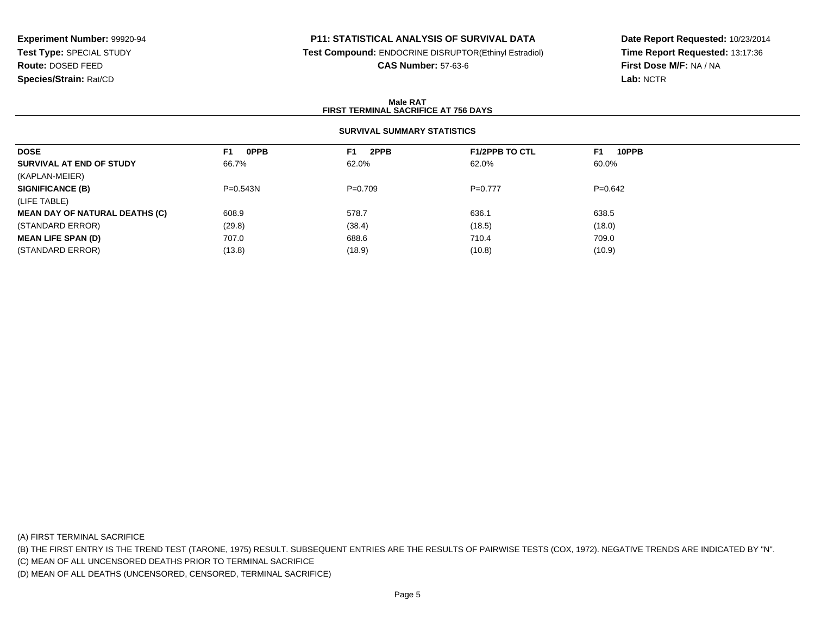## **P11: STATISTICAL ANALYSIS OF SURVIVAL DATA**

**Test Compound:** ENDOCRINE DISRUPTOR(Ethinyl Estradiol)

**CAS Number:** 57-63-6

**Date Report Requested:** 10/23/2014**Time Report Requested:** 13:17:36**First Dose M/F:** NA / NA**Lab:** NCTR

#### **Male RATFIRST TERMINAL SACRIFICE AT 756 DAYS**

### **SURVIVAL SUMMARY STATISTICS**

| <b>DOSE</b>                           | <b>OPPB</b><br>F1 | 2PPB<br>F1. | <b>F1/2PPB TO CTL</b> | 10PPB<br>F1 |
|---------------------------------------|-------------------|-------------|-----------------------|-------------|
| SURVIVAL AT END OF STUDY              | 66.7%             | 62.0%       | 62.0%                 | 60.0%       |
| (KAPLAN-MEIER)                        |                   |             |                       |             |
| <b>SIGNIFICANCE (B)</b>               | $P=0.543N$        | $P=0.709$   | $P=0.777$             | $P=0.642$   |
| (LIFE TABLE)                          |                   |             |                       |             |
| <b>MEAN DAY OF NATURAL DEATHS (C)</b> | 608.9             | 578.7       | 636.1                 | 638.5       |
| (STANDARD ERROR)                      | (29.8)            | (38.4)      | (18.5)                | (18.0)      |
| <b>MEAN LIFE SPAN (D)</b>             | 707.0             | 688.6       | 710.4                 | 709.0       |
| (STANDARD ERROR)                      | (13.8)            | (18.9)      | (10.8)                | (10.9)      |
|                                       |                   |             |                       |             |

(A) FIRST TERMINAL SACRIFICE

(B) THE FIRST ENTRY IS THE TREND TEST (TARONE, 1975) RESULT. SUBSEQUENT ENTRIES ARE THE RESULTS OF PAIRWISE TESTS (COX, 1972). NEGATIVE TRENDS ARE INDICATED BY "N".

(C) MEAN OF ALL UNCENSORED DEATHS PRIOR TO TERMINAL SACRIFICE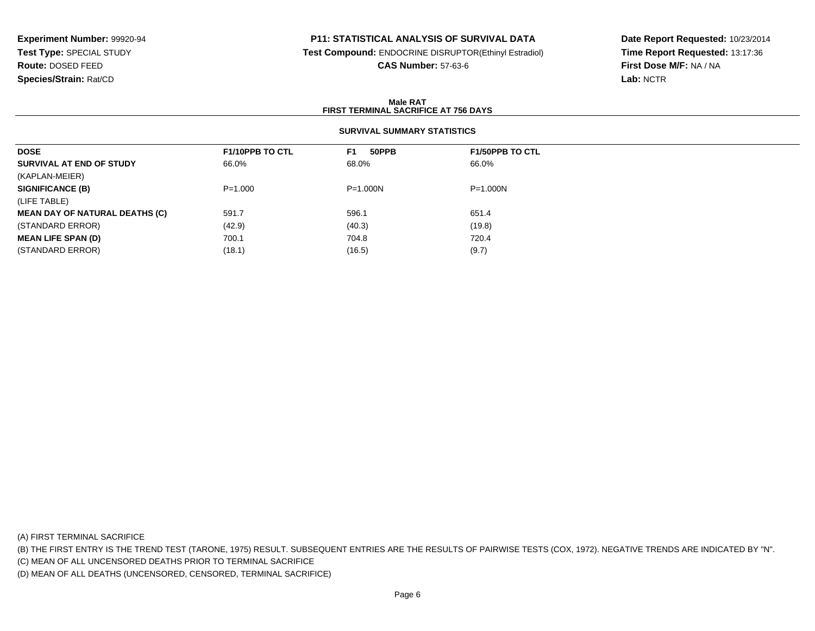## **P11: STATISTICAL ANALYSIS OF SURVIVAL DATA**

**Test Compound:** ENDOCRINE DISRUPTOR(Ethinyl Estradiol)

**CAS Number:** 57-63-6

**Date Report Requested:** 10/23/2014**Time Report Requested:** 13:17:36**First Dose M/F:** NA / NA**Lab:** NCTR

#### **Male RATFIRST TERMINAL SACRIFICE AT 756 DAYS**

## **SURVIVAL SUMMARY STATISTICS**

| <b>DOSE</b>                           | <b>F1/10PPB TO CTL</b> | 50PPB<br>F1  | <b>F1/50PPB TO CTL</b> |
|---------------------------------------|------------------------|--------------|------------------------|
| SURVIVAL AT END OF STUDY              | 66.0%                  | 68.0%        | 66.0%                  |
| (KAPLAN-MEIER)                        |                        |              |                        |
| <b>SIGNIFICANCE (B)</b>               | $P = 1.000$            | $P = 1.000N$ | P=1.000N               |
| (LIFE TABLE)                          |                        |              |                        |
| <b>MEAN DAY OF NATURAL DEATHS (C)</b> | 591.7                  | 596.1        | 651.4                  |
| (STANDARD ERROR)                      | (42.9)                 | (40.3)       | (19.8)                 |
| <b>MEAN LIFE SPAN (D)</b>             | 700.1                  | 704.8        | 720.4                  |
| (STANDARD ERROR)                      | (18.1)                 | (16.5)       | (9.7)                  |

(A) FIRST TERMINAL SACRIFICE

(B) THE FIRST ENTRY IS THE TREND TEST (TARONE, 1975) RESULT. SUBSEQUENT ENTRIES ARE THE RESULTS OF PAIRWISE TESTS (COX, 1972). NEGATIVE TRENDS ARE INDICATED BY "N".

(C) MEAN OF ALL UNCENSORED DEATHS PRIOR TO TERMINAL SACRIFICE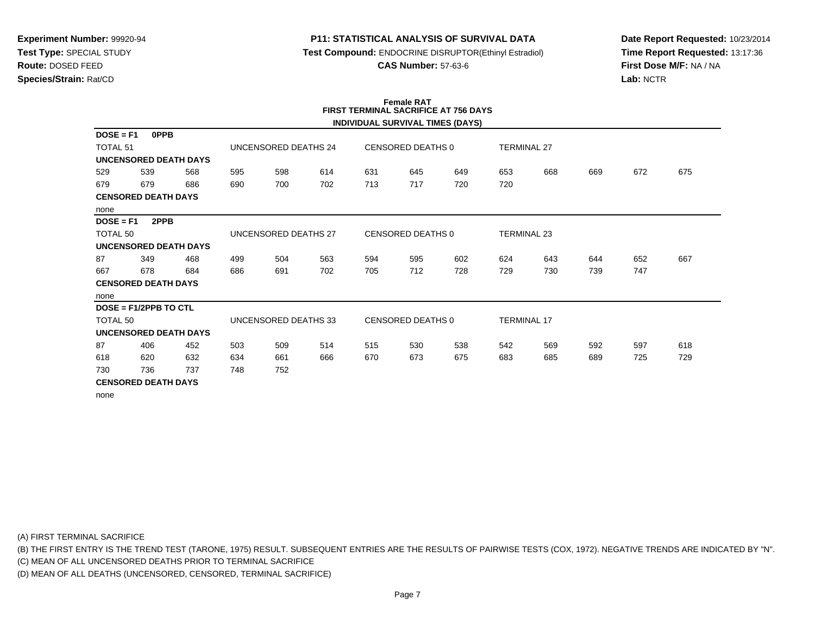#### **P11: STATISTICAL ANALYSIS OF SURVIVAL DATA**

**Test Compound:** ENDOCRINE DISRUPTOR(Ethinyl Estradiol)

**CAS Number:** 57-63-6

**Date Report Requested:** 10/23/2014**Time Report Requested:** 13:17:36**First Dose M/F:** NA / NA**Lab:** NCTR

#### **Female RAT FIRST TERMINAL SACRIFICE AT 756 DAYSINDIVIDUAL SURVIVAL TIMES (DAYS)**

|                            |                            |                              |     |                      |     |     |                          | INDIVIDUAL SURVIVAL TIMES (DATS) |                    |     |     |     |     |
|----------------------------|----------------------------|------------------------------|-----|----------------------|-----|-----|--------------------------|----------------------------------|--------------------|-----|-----|-----|-----|
| $DOSE = F1$                | <b>OPPB</b>                |                              |     |                      |     |     |                          |                                  |                    |     |     |     |     |
| <b>TOTAL 51</b>            |                            |                              |     | UNCENSORED DEATHS 24 |     |     | CENSORED DEATHS 0        |                                  | <b>TERMINAL 27</b> |     |     |     |     |
|                            |                            | <b>UNCENSORED DEATH DAYS</b> |     |                      |     |     |                          |                                  |                    |     |     |     |     |
| 529                        | 539                        | 568                          | 595 | 598                  | 614 | 631 | 645                      | 649                              | 653                | 668 | 669 | 672 | 675 |
| 679                        | 679                        | 686                          | 690 | 700                  | 702 | 713 | 717                      | 720                              | 720                |     |     |     |     |
| <b>CENSORED DEATH DAYS</b> |                            |                              |     |                      |     |     |                          |                                  |                    |     |     |     |     |
| none                       |                            |                              |     |                      |     |     |                          |                                  |                    |     |     |     |     |
| $DOSE = F1$                | 2PPB                       |                              |     |                      |     |     |                          |                                  |                    |     |     |     |     |
| TOTAL 50                   |                            |                              |     | UNCENSORED DEATHS 27 |     |     | CENSORED DEATHS 0        |                                  | <b>TERMINAL 23</b> |     |     |     |     |
|                            |                            | <b>UNCENSORED DEATH DAYS</b> |     |                      |     |     |                          |                                  |                    |     |     |     |     |
| 87                         | 349                        | 468                          | 499 | 504                  | 563 | 594 | 595                      | 602                              | 624                | 643 | 644 | 652 | 667 |
| 667                        | 678                        | 684                          | 686 | 691                  | 702 | 705 | 712                      | 728                              | 729                | 730 | 739 | 747 |     |
|                            | <b>CENSORED DEATH DAYS</b> |                              |     |                      |     |     |                          |                                  |                    |     |     |     |     |
| none                       |                            |                              |     |                      |     |     |                          |                                  |                    |     |     |     |     |
|                            | DOSE = F1/2PPB TO CTL      |                              |     |                      |     |     |                          |                                  |                    |     |     |     |     |
| TOTAL 50                   |                            |                              |     | UNCENSORED DEATHS 33 |     |     | <b>CENSORED DEATHS 0</b> |                                  | <b>TERMINAL 17</b> |     |     |     |     |
|                            |                            | <b>UNCENSORED DEATH DAYS</b> |     |                      |     |     |                          |                                  |                    |     |     |     |     |
| 87                         | 406                        | 452                          | 503 | 509                  | 514 | 515 | 530                      | 538                              | 542                | 569 | 592 | 597 | 618 |
| 618                        | 620                        | 632                          | 634 | 661                  | 666 | 670 | 673                      | 675                              | 683                | 685 | 689 | 725 | 729 |
| 730                        | 736                        | 737                          | 748 | 752                  |     |     |                          |                                  |                    |     |     |     |     |
|                            | <b>CENSORED DEATH DAYS</b> |                              |     |                      |     |     |                          |                                  |                    |     |     |     |     |
|                            |                            |                              |     |                      |     |     |                          |                                  |                    |     |     |     |     |

none

(A) FIRST TERMINAL SACRIFICE

(B) THE FIRST ENTRY IS THE TREND TEST (TARONE, 1975) RESULT. SUBSEQUENT ENTRIES ARE THE RESULTS OF PAIRWISE TESTS (COX, 1972). NEGATIVE TRENDS ARE INDICATED BY "N".

(C) MEAN OF ALL UNCENSORED DEATHS PRIOR TO TERMINAL SACRIFICE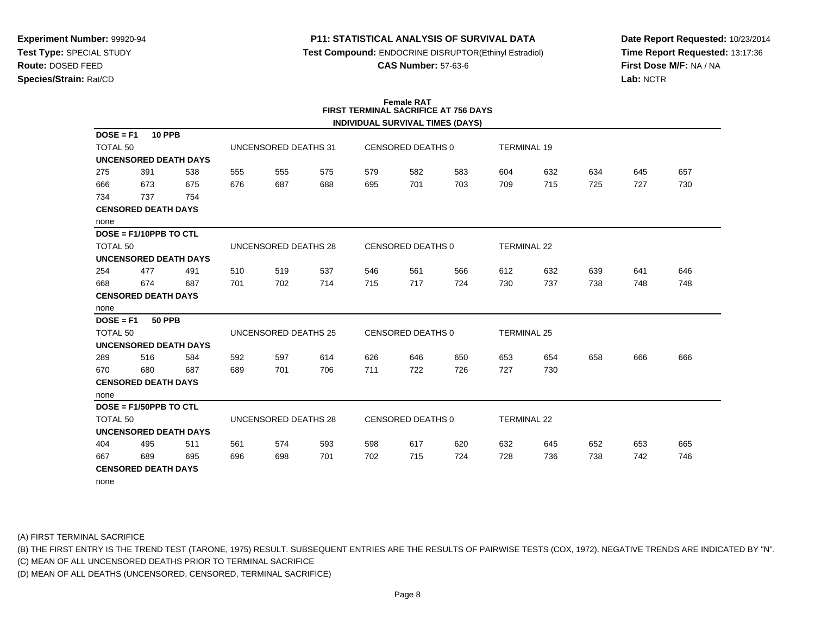### **P11: STATISTICAL ANALYSIS OF SURVIVAL DATA**

**Test Compound:** ENDOCRINE DISRUPTOR(Ethinyl Estradiol)

**CAS Number:** 57-63-6

**Date Report Requested:** 10/23/2014**Time Report Requested:** 13:17:36**First Dose M/F:** NA / NA**Lab:** NCTR

#### **Female RAT FIRST TERMINAL SACRIFICE AT 756 DAYSINDIVIDUAL SURVIVAL TIMES (DAYS)**

|                     |                              |     |     |                      |     |     |                          | INDIVIDUAL SURVIVAL TIMES (DATS) |                    |     |     |     |     |
|---------------------|------------------------------|-----|-----|----------------------|-----|-----|--------------------------|----------------------------------|--------------------|-----|-----|-----|-----|
| $DOSE = F1$         | <b>10 PPB</b>                |     |     |                      |     |     |                          |                                  |                    |     |     |     |     |
| TOTAL <sub>50</sub> |                              |     |     | UNCENSORED DEATHS 31 |     |     | CENSORED DEATHS 0        |                                  | <b>TERMINAL 19</b> |     |     |     |     |
|                     | <b>UNCENSORED DEATH DAYS</b> |     |     |                      |     |     |                          |                                  |                    |     |     |     |     |
| 275                 | 391                          | 538 | 555 | 555                  | 575 | 579 | 582                      | 583                              | 604                | 632 | 634 | 645 | 657 |
| 666                 | 673                          | 675 | 676 | 687                  | 688 | 695 | 701                      | 703                              | 709                | 715 | 725 | 727 | 730 |
| 734                 | 737                          | 754 |     |                      |     |     |                          |                                  |                    |     |     |     |     |
|                     | <b>CENSORED DEATH DAYS</b>   |     |     |                      |     |     |                          |                                  |                    |     |     |     |     |
| none                |                              |     |     |                      |     |     |                          |                                  |                    |     |     |     |     |
|                     | $DOSE = F1/10PPB TO CTL$     |     |     |                      |     |     |                          |                                  |                    |     |     |     |     |
| TOTAL <sub>50</sub> |                              |     |     | UNCENSORED DEATHS 28 |     |     | <b>CENSORED DEATHS 0</b> |                                  | <b>TERMINAL 22</b> |     |     |     |     |
|                     | <b>UNCENSORED DEATH DAYS</b> |     |     |                      |     |     |                          |                                  |                    |     |     |     |     |
| 254                 | 477                          | 491 | 510 | 519                  | 537 | 546 | 561                      | 566                              | 612                | 632 | 639 | 641 | 646 |
| 668                 | 674                          | 687 | 701 | 702                  | 714 | 715 | 717                      | 724                              | 730                | 737 | 738 | 748 | 748 |
|                     | <b>CENSORED DEATH DAYS</b>   |     |     |                      |     |     |                          |                                  |                    |     |     |     |     |
| none                |                              |     |     |                      |     |     |                          |                                  |                    |     |     |     |     |
| $DOSE = F1$         | <b>50 PPB</b>                |     |     |                      |     |     |                          |                                  |                    |     |     |     |     |
| TOTAL 50            |                              |     |     | UNCENSORED DEATHS 25 |     |     | <b>CENSORED DEATHS 0</b> |                                  | <b>TERMINAL 25</b> |     |     |     |     |
|                     | <b>UNCENSORED DEATH DAYS</b> |     |     |                      |     |     |                          |                                  |                    |     |     |     |     |
| 289                 | 516                          | 584 | 592 | 597                  | 614 | 626 | 646                      | 650                              | 653                | 654 | 658 | 666 | 666 |
| 670                 | 680                          | 687 | 689 | 701                  | 706 | 711 | 722                      | 726                              | 727                | 730 |     |     |     |
|                     | <b>CENSORED DEATH DAYS</b>   |     |     |                      |     |     |                          |                                  |                    |     |     |     |     |
| none                |                              |     |     |                      |     |     |                          |                                  |                    |     |     |     |     |
|                     | $DOSE = F1/50PPB TO CTL$     |     |     |                      |     |     |                          |                                  |                    |     |     |     |     |
| TOTAL <sub>50</sub> |                              |     |     | UNCENSORED DEATHS 28 |     |     | CENSORED DEATHS 0        |                                  | <b>TERMINAL 22</b> |     |     |     |     |
|                     | <b>UNCENSORED DEATH DAYS</b> |     |     |                      |     |     |                          |                                  |                    |     |     |     |     |
| 404                 | 495                          | 511 | 561 | 574                  | 593 | 598 | 617                      | 620                              | 632                | 645 | 652 | 653 | 665 |
| 667                 | 689                          | 695 | 696 | 698                  | 701 | 702 | 715                      | 724                              | 728                | 736 | 738 | 742 | 746 |
|                     | <b>CENSORED DEATH DAYS</b>   |     |     |                      |     |     |                          |                                  |                    |     |     |     |     |
| none                |                              |     |     |                      |     |     |                          |                                  |                    |     |     |     |     |

(A) FIRST TERMINAL SACRIFICE

(B) THE FIRST ENTRY IS THE TREND TEST (TARONE, 1975) RESULT. SUBSEQUENT ENTRIES ARE THE RESULTS OF PAIRWISE TESTS (COX, 1972). NEGATIVE TRENDS ARE INDICATED BY "N".

(C) MEAN OF ALL UNCENSORED DEATHS PRIOR TO TERMINAL SACRIFICE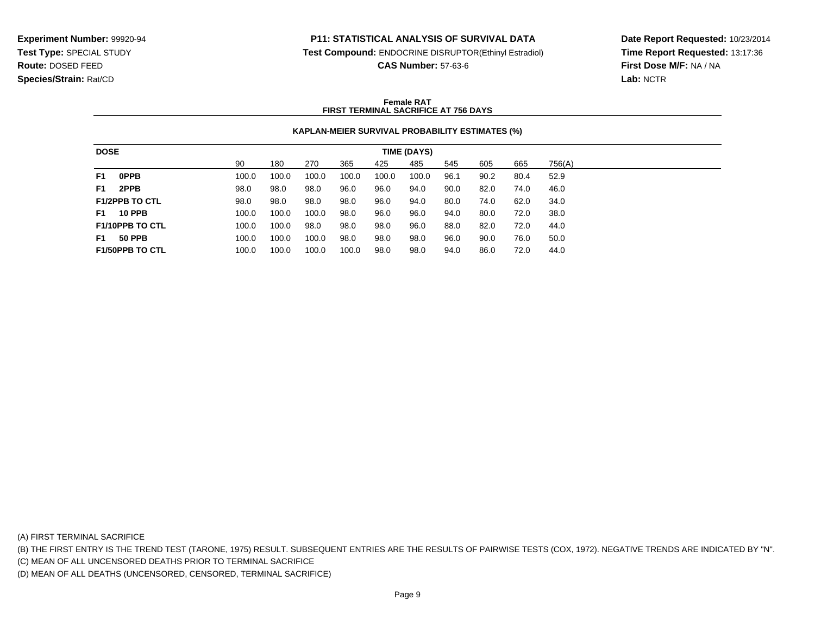#### **P11: STATISTICAL ANALYSIS OF SURVIVAL DATA**

**Test Compound:** ENDOCRINE DISRUPTOR(Ethinyl Estradiol)

**CAS Number:** 57-63-6

**Date Report Requested:** 10/23/2014**Time Report Requested:** 13:17:36**First Dose M/F:** NA / NA**Lab:** NCTR

#### **Female RATFIRST TERMINAL SACRIFICE AT 756 DAYS**

#### **KAPLAN-MEIER SURVIVAL PROBABILITY ESTIMATES (%)**

| <b>DOSE</b>    |                        |       |       |       |       |       | TIME (DAYS) |      |      |      |        |  |
|----------------|------------------------|-------|-------|-------|-------|-------|-------------|------|------|------|--------|--|
|                |                        | 90    | 180   | 270   | 365   | 425   | 485         | 545  | 605  | 665  | 756(A) |  |
| F <sub>1</sub> | <b>OPPB</b>            | 100.0 | 100.0 | 100.0 | 100.0 | 100.0 | 100.0       | 96.1 | 90.2 | 80.4 | 52.9   |  |
| F1             | 2PPB                   | 98.0  | 98.0  | 98.0  | 96.0  | 96.0  | 94.0        | 90.0 | 82.0 | 74.0 | 46.0   |  |
|                | <b>F1/2PPB TO CTL</b>  | 98.0  | 98.0  | 98.0  | 98.0  | 96.0  | 94.0        | 80.0 | 74.0 | 62.0 | 34.0   |  |
| <b>F1</b>      | <b>10 PPB</b>          | 100.0 | 100.0 | 100.0 | 98.0  | 96.0  | 96.0        | 94.0 | 80.0 | 72.0 | 38.0   |  |
|                | <b>F1/10PPB TO CTL</b> | 100.0 | 100.0 | 98.0  | 98.0  | 98.0  | 96.0        | 88.0 | 82.0 | 72.0 | 44.0   |  |
| F1             | <b>50 PPB</b>          | 100.0 | 100.0 | 100.0 | 98.0  | 98.0  | 98.0        | 96.0 | 90.0 | 76.0 | 50.0   |  |
|                | <b>F1/50PPB TO CTL</b> | 100.0 | 100.0 | 100.0 | 100.0 | 98.0  | 98.0        | 94.0 | 86.0 | 72.0 | 44.0   |  |

(A) FIRST TERMINAL SACRIFICE

(B) THE FIRST ENTRY IS THE TREND TEST (TARONE, 1975) RESULT. SUBSEQUENT ENTRIES ARE THE RESULTS OF PAIRWISE TESTS (COX, 1972). NEGATIVE TRENDS ARE INDICATED BY "N".

(C) MEAN OF ALL UNCENSORED DEATHS PRIOR TO TERMINAL SACRIFICE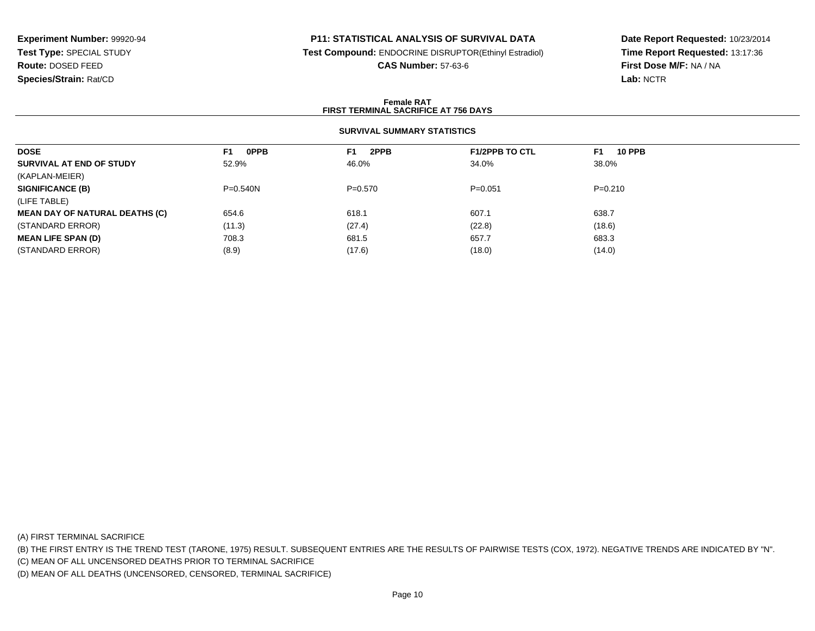## **P11: STATISTICAL ANALYSIS OF SURVIVAL DATA**

**Test Compound:** ENDOCRINE DISRUPTOR(Ethinyl Estradiol)

**CAS Number:** 57-63-6

**Date Report Requested:** 10/23/2014**Time Report Requested:** 13:17:36**First Dose M/F:** NA / NA**Lab:** NCTR

#### **Female RATFIRST TERMINAL SACRIFICE AT 756 DAYS**

### **SURVIVAL SUMMARY STATISTICS**

| <b>OPPB</b><br>F <sub>1</sub> | 2PPB<br>F1. | <b>F1/2PPB TO CTL</b> | <b>10 PPB</b><br>F1 |
|-------------------------------|-------------|-----------------------|---------------------|
| 52.9%                         | 46.0%       | 34.0%                 | 38.0%               |
|                               |             |                       |                     |
| $P=0.540N$                    | $P = 0.570$ | $P = 0.051$           | $P=0.210$           |
|                               |             |                       |                     |
| 654.6                         | 618.1       | 607.1                 | 638.7               |
| (11.3)                        | (27.4)      | (22.8)                | (18.6)              |
| 708.3                         | 681.5       | 657.7                 | 683.3               |
| (8.9)                         | (17.6)      | (18.0)                | (14.0)              |
|                               |             |                       |                     |

(A) FIRST TERMINAL SACRIFICE

(B) THE FIRST ENTRY IS THE TREND TEST (TARONE, 1975) RESULT. SUBSEQUENT ENTRIES ARE THE RESULTS OF PAIRWISE TESTS (COX, 1972). NEGATIVE TRENDS ARE INDICATED BY "N".

(C) MEAN OF ALL UNCENSORED DEATHS PRIOR TO TERMINAL SACRIFICE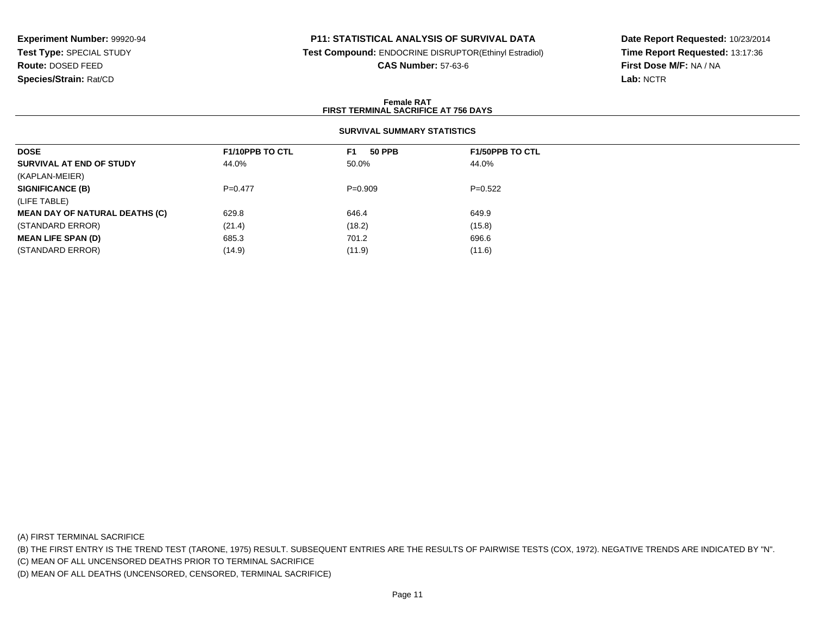### **P11: STATISTICAL ANALYSIS OF SURVIVAL DATA**

**Test Compound:** ENDOCRINE DISRUPTOR(Ethinyl Estradiol)

**CAS Number:** 57-63-6

**Date Report Requested:** 10/23/2014**Time Report Requested:** 13:17:36**First Dose M/F:** NA / NA**Lab:** NCTR

#### **Female RATFIRST TERMINAL SACRIFICE AT 756 DAYS**

## **SURVIVAL SUMMARY STATISTICS**

| <b>DOSE</b>                           | <b>F1/10PPB TO CTL</b> | <b>50 PPB</b><br>F1. | <b>F1/50PPB TO CTL</b> |
|---------------------------------------|------------------------|----------------------|------------------------|
| SURVIVAL AT END OF STUDY              | 44.0%                  | 50.0%                | 44.0%                  |
| (KAPLAN-MEIER)                        |                        |                      |                        |
| <b>SIGNIFICANCE (B)</b>               | $P = 0.477$            | $P=0.909$            | $P=0.522$              |
| (LIFE TABLE)                          |                        |                      |                        |
| <b>MEAN DAY OF NATURAL DEATHS (C)</b> | 629.8                  | 646.4                | 649.9                  |
| (STANDARD ERROR)                      | (21.4)                 | (18.2)               | (15.8)                 |
| <b>MEAN LIFE SPAN (D)</b>             | 685.3                  | 701.2                | 696.6                  |
| (STANDARD ERROR)                      | (14.9)                 | (11.9)               | (11.6)                 |

(A) FIRST TERMINAL SACRIFICE

(B) THE FIRST ENTRY IS THE TREND TEST (TARONE, 1975) RESULT. SUBSEQUENT ENTRIES ARE THE RESULTS OF PAIRWISE TESTS (COX, 1972). NEGATIVE TRENDS ARE INDICATED BY "N".

(C) MEAN OF ALL UNCENSORED DEATHS PRIOR TO TERMINAL SACRIFICE